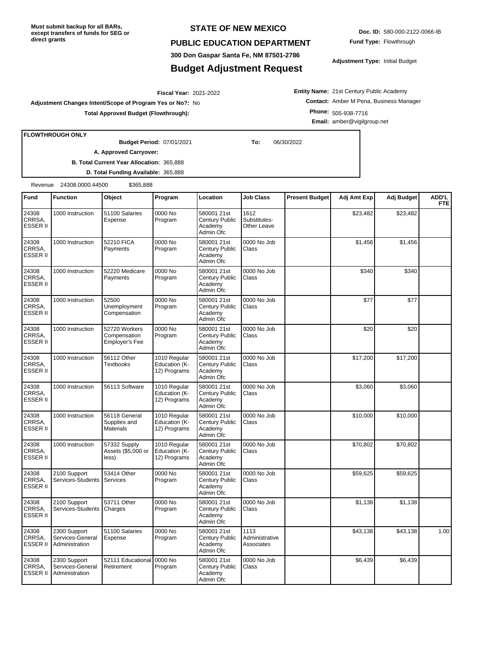**Must submit backup for all BARs, except transfers of funds for SEG or direct grants**

## **STATE OF NEW MEXICO**

## **PUBLIC EDUCATION DEPARTMENT**

**300 Don Gaspar Santa Fe, NM 87501-2786**

## **Budget Adjustment Request**

**Doc. ID:** 580-000-2122-0066-IB **Fund Type:** Flowthrough

**Adjustment Type:** Initial Budget

**Entity Name:** 21st Century Public Academy **Contact:** Amber M Pena, Business Manager **Phone:** 505-938-7716 **Email:** amber@vigilgroup.net

2021-2022 **Fiscal Year: Adjustment Changes Intent/Scope of Program Yes or No?:** No **Total Approved Budget (Flowthrough):**

**FLOWTHROUGH ONLY**

07/01/2021 **To:** 06/30/2022 **Budget Period:**

**A. Approved Carryover:** 

**B. Total Current Year Allocation:** 365,888 **D. Total Funding Available:** 365,888

Revenue 24308.0000.44500 \$365,888

| Fund                               | <b>Function</b>                                    | Object                                                 | Program                                       | Location                                                     | Job Class                            | <b>Present Budget</b> | Adj Amt Exp | Adj Budget | <b>ADD'L</b><br><b>FTE</b> |
|------------------------------------|----------------------------------------------------|--------------------------------------------------------|-----------------------------------------------|--------------------------------------------------------------|--------------------------------------|-----------------------|-------------|------------|----------------------------|
| 24308<br>CRRSA.<br><b>ESSER II</b> | 1000 Instruction                                   | 51100 Salaries<br>Expense                              | 0000 No<br>Program                            | 580001 21st<br>Century Public<br>Academy<br>Admin Ofc        | 1612<br>Substitutes-<br>Other Leave  |                       | \$23,482    | \$23,482   |                            |
| 24308<br>CRRSA,<br><b>ESSER II</b> | 1000 Instruction                                   | 52210 FICA<br>Payments                                 | 0000 No<br>Program                            | 580001 21st<br>Century Public<br>Academy<br>Admin Ofc        | 0000 No Job<br>Class                 |                       | \$1,456     | \$1,456    |                            |
| 24308<br>CRRSA.<br><b>ESSER II</b> | 1000 Instruction                                   | 52220 Medicare<br>Payments                             | 0000 No<br>Program                            | 580001 21st<br>Century Public<br>Academy<br>Admin Ofc        | 0000 No Job<br>Class                 |                       | \$340       | \$340      |                            |
| 24308<br>CRRSA.<br><b>ESSER II</b> | 1000 Instruction                                   | 52500<br>Unemployment<br>Compensation                  | 0000 No<br>Program                            | 580001 21st<br>Century Public<br>Academy<br>Admin Ofc        | 0000 No Job<br>Class                 |                       | \$77        | \$77       |                            |
| 24308<br>CRRSA,<br><b>ESSER II</b> | 1000 Instruction                                   | 52720 Workers<br>Compensation<br><b>Employer's Fee</b> | 0000 No<br>Program                            | 580001 21st<br>Century Public<br>Academy<br>Admin Ofc        | 0000 No Job<br>Class                 |                       | \$20        | \$20       |                            |
| 24308<br>CRRSA,<br>ESSER II        | 1000 Instruction                                   | 56112 Other<br><b>Textbooks</b>                        | 1010 Regular<br>Education (K-<br>12) Programs | 580001 21st<br>Century Public<br>Academy<br>Admin Ofc        | 0000 No Job<br>Class                 |                       | \$17,200    | \$17,200   |                            |
| 24308<br>CRRSA,<br><b>ESSER II</b> | 1000 Instruction                                   | 56113 Software                                         | 1010 Regular<br>Education (K-<br>12) Programs | 580001 21st<br>Century Public<br>Academy<br>Admin Ofc        | 0000 No Job<br>Class                 |                       | \$3,060     | \$3,060    |                            |
| 24308<br>CRRSA.<br><b>ESSER II</b> | 1000 Instruction                                   | 56118 General<br>Supplies and<br><b>Materials</b>      | 1010 Regular<br>Education (K-<br>12) Programs | 580001 21st<br>Century Public<br>Academy<br>Admin Ofc        | 0000 No Job<br>Class                 |                       | \$10,000    | \$10,000   |                            |
| 24308<br>CRRSA,<br>ESSER II        | 1000 Instruction                                   | 57332 Supply<br>Assets (\$5,000 or<br>less)            | 1010 Regular<br>Education (K-<br>12) Programs | 580001 21st<br>Century Public<br>Academy<br>Admin Ofc        | 0000 No Job<br>Class                 |                       | \$70,802    | \$70,802   |                            |
| 24308<br>CRRSA,<br><b>ESSER II</b> | 2100 Support<br>Services-Students                  | 53414 Other<br>Services                                | 0000 No<br>Program                            | 580001 21st<br>Century Public<br>Academv<br>Admin Ofc        | 0000 No Job<br>Class                 |                       | \$59,625    | \$59,625   |                            |
| 24308<br>CRRSA,<br><b>ESSER II</b> | 2100 Support<br>Services-Students                  | 53711 Other<br>Charges                                 | 0000 No<br>Program                            | 580001 21st<br>Century Public<br>Academy<br>Admin Ofc        | 0000 No Job<br>Class                 |                       | \$1,138     | \$1,138    |                            |
| 24308<br>CRRSA,<br><b>ESSER II</b> | 2300 Support<br>Services-General<br>Administration | 51100 Salaries<br>Expense                              | 0000 No<br>Program                            | 580001 21st<br><b>Century Public</b><br>Academy<br>Admin Ofc | 1113<br>Administrative<br>Associates |                       | \$43,138    | \$43,138   | 1.00                       |
| 24308<br>CRRSA,<br><b>ESSER II</b> | 2300 Support<br>Services-General<br>Administration | 52111 Educational<br>Retirement                        | 0000 No<br>Program                            | 580001 21st<br>Century Public<br>Academy<br>Admin Ofc        | 0000 No Job<br>Class                 |                       | \$6,439     | \$6,439    |                            |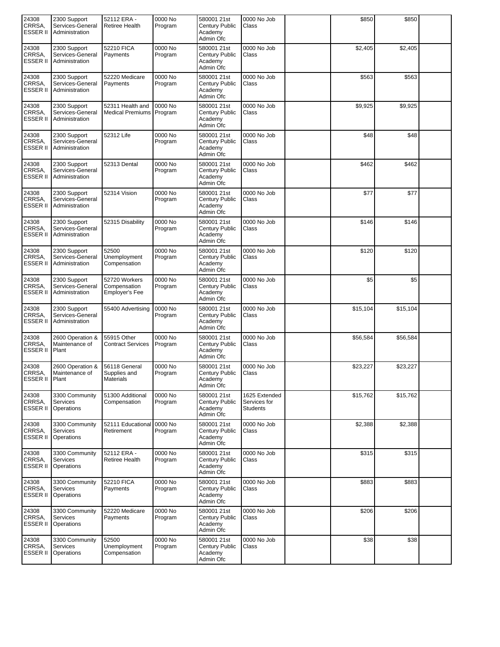| 24308<br>CRRSA<br><b>ESSER II</b>  | 2300 Support<br>Services-General<br>Administration | 52112 ERA -<br>Retiree Health                   | 0000 No<br>Program | 580001 21st<br>Century Public<br>Academy<br>Admin Ofc        | 0000 No Job<br>Class                             | \$850    | \$850    |  |
|------------------------------------|----------------------------------------------------|-------------------------------------------------|--------------------|--------------------------------------------------------------|--------------------------------------------------|----------|----------|--|
| 24308<br>CRRSA.<br><b>ESSER II</b> | 2300 Support<br>Services-General<br>Administration | 52210 FICA<br>Payments                          | 0000 No<br>Program | 580001 21st<br>Century Public<br>Academy<br>Admin Ofc        | 0000 No Job<br>Class                             | \$2,405  | \$2,405  |  |
| 24308<br>CRRSA,<br><b>ESSER II</b> | 2300 Support<br>Services-General<br>Administration | 52220 Medicare<br>Payments                      | 0000 No<br>Program | 580001 21st<br>Century Public<br>Academy<br>Admin Ofc        | 0000 No Job<br>Class                             | \$563    | \$563    |  |
| 24308<br>CRRSA.<br><b>ESSER II</b> | 2300 Support<br>Services-General<br>Administration | 52311 Health and<br>Medical Premiums Program    | 0000 No            | 580001 21st<br>Century Public<br>Academy<br>Admin Ofc        | 0000 No Job<br>Class                             | \$9,925  | \$9,925  |  |
| 24308<br>CRRSA.<br><b>ESSER II</b> | 2300 Support<br>Services-General<br>Administration | 52312 Life                                      | 0000 No<br>Program | 580001 21st<br>Century Public<br>Academy<br>Admin Ofc        | 0000 No Job<br>Class                             | \$48     | \$48     |  |
| 24308<br>CRRSA,<br><b>ESSER II</b> | 2300 Support<br>Services-General<br>Administration | 52313 Dental                                    | 0000 No<br>Program | 580001 21st<br>Century Public<br>Academy<br>Admin Ofc        | 0000 No Job<br>Class                             | \$462    | \$462    |  |
| 24308<br>CRRSA,<br><b>ESSER II</b> | 2300 Support<br>Services-General<br>Administration | 52314 Vision                                    | 0000 No<br>Program | 580001 21st<br>Century Public<br>Academy<br>Admin Ofc        | 0000 No Job<br>Class                             | \$77     | \$77     |  |
| 24308<br>CRRSA,<br><b>ESSER II</b> | 2300 Support<br>Services-General<br>Administration | 52315 Disability                                | 0000 No<br>Program | 580001 21st<br>Century Public<br>Academy<br>Admin Ofc        | 0000 No Job<br>Class                             | \$146    | \$146    |  |
| 24308<br>CRRSA,<br><b>ESSER II</b> | 2300 Support<br>Services-General<br>Administration | 52500<br>Unemployment<br>Compensation           | 0000 No<br>Program | 580001 21st<br><b>Century Public</b><br>Academy<br>Admin Ofc | 0000 No Job<br>Class                             | \$120    | \$120    |  |
| 24308<br>CRRSA,<br><b>ESSER II</b> | 2300 Support<br>Services-General<br>Administration | 52720 Workers<br>Compensation<br>Employer's Fee | 0000 No<br>Program | 580001 21st<br>Century Public<br>Academy<br>Admin Ofc        | 0000 No Job<br>Class                             | \$5      | \$5      |  |
| 24308<br>CRRSA,<br><b>ESSER II</b> | 2300 Support<br>Services-General<br>Administration | 55400 Advertising                               | 0000 No<br>Program | 580001 21st<br>Century Public<br>Academy<br>Admin Ofc        | 0000 No Job<br>Class                             | \$15,104 | \$15,104 |  |
| 24308<br>CRRSA.<br>ESSER II        | 2600 Operation &<br>Maintenance of<br>Plant        | 55915 Other<br><b>Contract Services</b>         | 0000 No<br>Program | 580001 21st<br>Century Public<br>Academy<br>Admin Ofc        | 0000 No Job<br>Class                             | \$56,584 | \$56,584 |  |
| 24308<br>CRRSA.<br><b>ESSER II</b> | 2600 Operation &<br>Maintenance of<br>Plant        | 56118 General<br>Supplies and<br>Materials      | 0000 No<br>Program | 580001 21st<br>Century Public<br>Academy<br>Admin Ofc        | 0000 No Job<br>Class                             | \$23,227 | \$23,227 |  |
| 24308<br>CRRSA,<br><b>ESSER II</b> | 3300 Community<br><b>Services</b><br>Operations    | 51300 Additional<br>Compensation                | 0000 No<br>Program | 580001 21st<br>Century Public<br>Academy<br>Admin Ofc        | 1625 Extended<br>Services for<br><b>Students</b> | \$15,762 | \$15,762 |  |
| 24308<br>CRRSA.<br><b>ESSER II</b> | 3300 Community<br>Services<br>Operations           | 52111 Educational<br>Retirement                 | 0000 No<br>Program | 580001 21st<br>Century Public<br>Academy<br>Admin Ofc        | 0000 No Job<br>Class                             | \$2,388  | \$2,388  |  |
| 24308<br>CRRSA,<br><b>ESSER II</b> | 3300 Community<br>Services<br>Operations           | 52112 ERA -<br>Retiree Health                   | 0000 No<br>Program | 580001 21st<br>Century Public<br>Academy<br>Admin Ofc        | 0000 No Job<br>Class                             | \$315    | \$315    |  |
| 24308<br>CRRSA,<br><b>ESSER II</b> | 3300 Community<br><b>Services</b><br>Operations    | 52210 FICA<br>Payments                          | 0000 No<br>Program | 580001 21st<br>Century Public<br>Academy<br>Admin Ofc        | 0000 No Job<br>Class                             | \$883    | \$883    |  |
| 24308<br>CRRSA,<br><b>ESSER II</b> | 3300 Community<br><b>Services</b><br>Operations    | 52220 Medicare<br>Payments                      | 0000 No<br>Program | 580001 21st<br>Century Public<br>Academy<br>Admin Ofc        | 0000 No Job<br>Class                             | \$206    | \$206    |  |
| 24308<br>CRRSA,<br><b>ESSER II</b> | 3300 Community<br><b>Services</b><br>Operations    | 52500<br>Unemployment<br>Compensation           | 0000 No<br>Program | 580001 21st<br>Century Public<br>Academy<br>Admin Ofc        | 0000 No Job<br>Class                             | \$38     | \$38     |  |